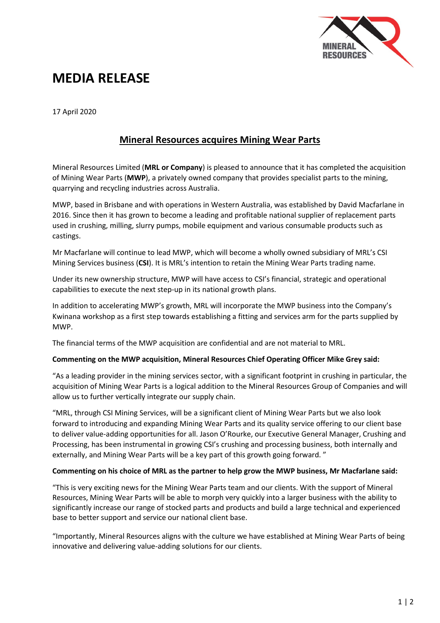

# **MEDIA RELEASE**

17 April 2020

## **Mineral Resources acquires Mining Wear Parts**

Mineral Resources Limited (**MRL or Company**) is pleased to announce that it has completed the acquisition of Mining Wear Parts (**MWP**), a privately owned company that provides specialist parts to the mining, quarrying and recycling industries across Australia.

MWP, based in Brisbane and with operations in Western Australia, was established by David Macfarlane in 2016. Since then it has grown to become a leading and profitable national supplier of replacement parts used in crushing, milling, slurry pumps, mobile equipment and various consumable products such as castings.

Mr Macfarlane will continue to lead MWP, which will become a wholly owned subsidiary of MRL's CSI Mining Services business (**CSI**). It is MRL's intention to retain the Mining Wear Parts trading name.

Under its new ownership structure, MWP will have access to CSI's financial, strategic and operational capabilities to execute the next step-up in its national growth plans.

In addition to accelerating MWP's growth, MRL will incorporate the MWP business into the Company's Kwinana workshop as a first step towards establishing a fitting and services arm for the parts supplied by MWP.

The financial terms of the MWP acquisition are confidential and are not material to MRL.

### **Commenting on the MWP acquisition, Mineral Resources Chief Operating Officer Mike Grey said:**

"As a leading provider in the mining services sector, with a significant footprint in crushing in particular, the acquisition of Mining Wear Parts is a logical addition to the Mineral Resources Group of Companies and will allow us to further vertically integrate our supply chain.

"MRL, through CSI Mining Services, will be a significant client of Mining Wear Parts but we also look forward to introducing and expanding Mining Wear Parts and its quality service offering to our client base to deliver value-adding opportunities for all. Jason O'Rourke, our Executive General Manager, Crushing and Processing, has been instrumental in growing CSI's crushing and processing business, both internally and externally, and Mining Wear Parts will be a key part of this growth going forward. "

#### **Commenting on his choice of MRL as the partner to help grow the MWP business, Mr Macfarlane said:**

"This is very exciting news for the Mining Wear Parts team and our clients. With the support of Mineral Resources, Mining Wear Parts will be able to morph very quickly into a larger business with the ability to significantly increase our range of stocked parts and products and build a large technical and experienced base to better support and service our national client base.

"Importantly, Mineral Resources aligns with the culture we have established at Mining Wear Parts of being innovative and delivering value-adding solutions for our clients.